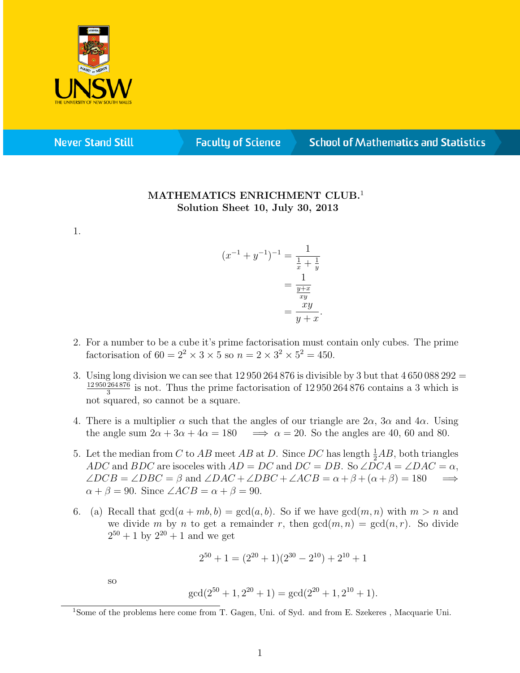

**Never Stand Still** 

**Faculty of Science** 

## **School of Mathematics and Statistics**

## MATHEMATICS ENRICHMENT CLUB.<sup>1</sup> Solution Sheet 10, July 30, 2013

1.

$$
(x^{-1} + y^{-1})^{-1} = \frac{1}{\frac{1}{x} + \frac{1}{y}}
$$

$$
= \frac{1}{\frac{y+x}{xy}}
$$

$$
= \frac{xy}{y+x}.
$$

- 2. For a number to be a cube it's prime factorisation must contain only cubes. The prime factorisation of  $60 = 2^2 \times 3 \times 5$  so  $n = 2 \times 3^2 \times 5^2 = 450$ .
- 3. Using long division we can see that  $12\,950\,264\,876$  is divisible by 3 but that  $4\,650\,088\,292 =$ 12 950 264 876  $\frac{264876}{3}$  is not. Thus the prime factorisation of  $12\,950\,264\,876$  contains a 3 which is not squared, so cannot be a square.
- 4. There is a multiplier  $\alpha$  such that the angles of our triangle are  $2\alpha$ ,  $3\alpha$  and  $4\alpha$ . Using the angle sum  $2\alpha + 3\alpha + 4\alpha = 180 \implies \alpha = 20$ . So the angles are 40, 60 and 80.
- 5. Let the median from C to AB meet AB at D. Since DC has length  $\frac{1}{2}AB$ , both triangles ADC and BDC are isoceles with  $AD = DC$  and  $DC = DB$ . So  $\angle DCA = \angle DAC = \alpha$ ,  $\angle DCB = \angle DBC = \beta$  and  $\angle DAC + \angle DBC + \angle ACB = \alpha + \beta + (\alpha + \beta) = 180$   $\implies$  $\alpha + \beta = 90$ . Since  $\angle ACB = \alpha + \beta = 90$ .
- 6. (a) Recall that  $gcd(a + mb, b) = gcd(a, b)$ . So if we have  $gcd(m, n)$  with  $m > n$  and we divide m by n to get a remainder r, then  $gcd(m, n) = gcd(n, r)$ . So divide  $2^{50} + 1$  by  $2^{20} + 1$  and we get

$$
2^{50} + 1 = (2^{20} + 1)(2^{30} - 2^{10}) + 2^{10} + 1
$$

so

$$
\gcd(2^{50}+1,2^{20}+1)=\gcd(2^{20}+1,2^{10}+1).
$$

<sup>&</sup>lt;sup>1</sup>Some of the problems here come from T. Gagen, Uni. of Syd. and from E. Szekeres, Macquarie Uni.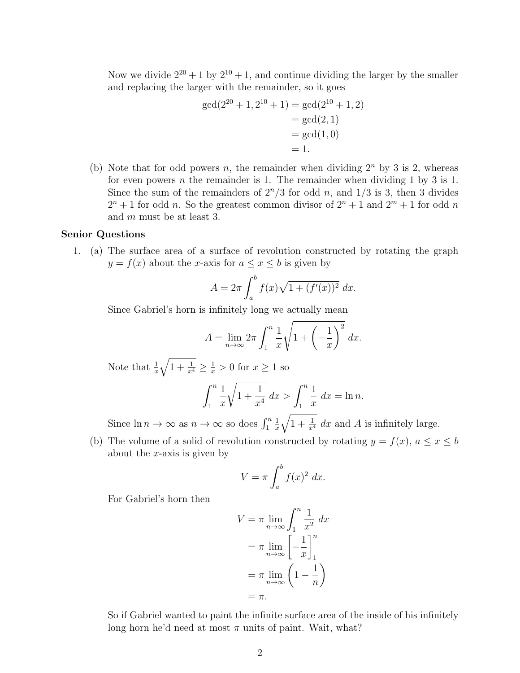Now we divide  $2^{20} + 1$  by  $2^{10} + 1$ , and continue dividing the larger by the smaller and replacing the larger with the remainder, so it goes

$$
gcd(2^{20} + 1, 2^{10} + 1) = gcd(2^{10} + 1, 2)
$$
  
= gcd(2, 1)  
= gcd(1, 0)  
= 1.

(b) Note that for odd powers n, the remainder when dividing  $2^n$  by 3 is 2, whereas for even powers *n* the remainder is 1. The remainder when dividing 1 by 3 is 1. Since the sum of the remainders of  $2^n/3$  for odd n, and  $1/3$  is 3, then 3 divides  $2^{n}+1$  for odd n. So the greatest common divisor of  $2^{n}+1$  and  $2^{m}+1$  for odd n and m must be at least 3.

## Senior Questions

1. (a) The surface area of a surface of revolution constructed by rotating the graph  $y = f(x)$  about the x-axis for  $a \leq x \leq b$  is given by

$$
A = 2\pi \int_{a}^{b} f(x)\sqrt{1 + (f'(x))^{2}} dx.
$$

Since Gabriel's horn is infinitely long we actually mean

$$
A = \lim_{n \to \infty} 2\pi \int_1^n \frac{1}{x} \sqrt{1 + \left(-\frac{1}{x}\right)^2} dx.
$$

Note that  $\frac{1}{x}$  $\sqrt{1+\frac{1}{x^4}} \geq \frac{1}{x} > 0$  for  $x \geq 1$  so

$$
\int_{1}^{n} \frac{1}{x} \sqrt{1 + \frac{1}{x^4}} \, dx > \int_{1}^{n} \frac{1}{x} \, dx = \ln n.
$$

Since  $\ln n \to \infty$  as  $n \to \infty$  so does  $\int_1^n$ 1 x  $\sqrt{1+\frac{1}{x^4}} dx$  and A is infinitely large.

(b) The volume of a solid of revolution constructed by rotating  $y = f(x)$ ,  $a \le x \le b$ about the  $x$ -axis is given by

$$
V = \pi \int_a^b f(x)^2 dx.
$$

For Gabriel's horn then

$$
V = \pi \lim_{n \to \infty} \int_1^n \frac{1}{x^2} dx
$$

$$
= \pi \lim_{n \to \infty} \left[ -\frac{1}{x} \right]_1^n
$$

$$
= \pi \lim_{n \to \infty} \left( 1 - \frac{1}{n} \right)
$$

$$
= \pi.
$$

So if Gabriel wanted to paint the infinite surface area of the inside of his infinitely long horn he'd need at most  $\pi$  units of paint. Wait, what?